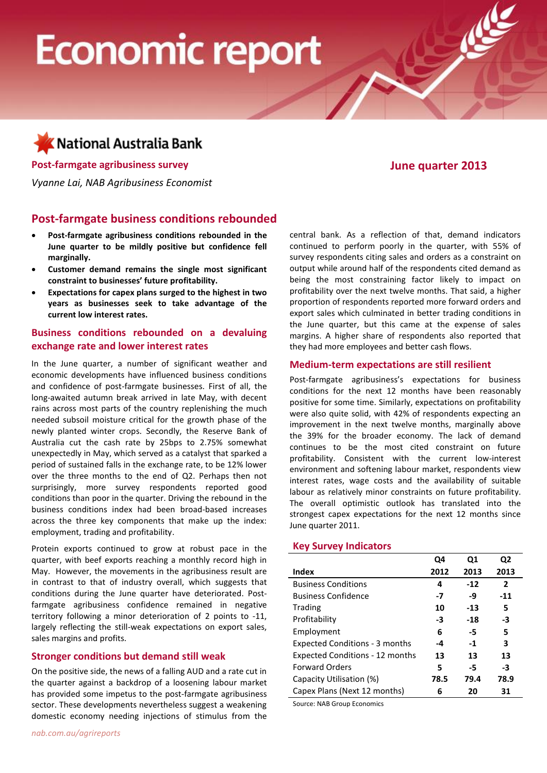# **Economic report**

# Kational Australia Bank

**Post-farmgate agribusiness survey June quarter 2013**

*Vyanne Lai, NAB Agribusiness Economist*

### **Post-farmgate business conditions rebounded**

- **Post-farmgate agribusiness conditions rebounded in the June quarter to be mildly positive but confidence fell marginally.**
- **Customer demand remains the single most significant constraint to businesses' future profitability.**
- **Expectations for capex plans surged to the highest in two years as businesses seek to take advantage of the current low interest rates.**

#### **Business conditions rebounded on a devaluing exchange rate and lower interest rates**

In the June quarter, a number of significant weather and economic developments have influenced business conditions and confidence of post-farmgate businesses. First of all, the long-awaited autumn break arrived in late May, with decent rains across most parts of the country replenishing the much needed subsoil moisture critical for the growth phase of the newly planted winter crops. Secondly, the Reserve Bank of Australia cut the cash rate by 25bps to 2.75% somewhat unexpectedly in May, which served as a catalyst that sparked a period of sustained falls in the exchange rate, to be 12% lower over the three months to the end of Q2. Perhaps then not surprisingly, more survey respondents reported good conditions than poor in the quarter. Driving the rebound in the business conditions index had been broad-based increases across the three key components that make up the index: employment, trading and profitability.

Protein exports continued to grow at robust pace in the quarter, with beef exports reaching a monthly record high in May. However, the movements in the agribusiness result are in contrast to that of industry overall, which suggests that conditions during the June quarter have deteriorated. Postfarmgate agribusiness confidence remained in negative territory following a minor deterioration of 2 points to -11, largely reflecting the still-weak expectations on export sales, sales margins and profits.

#### **Stronger conditions but demand still weak**

On the positive side, the news of a falling AUD and a rate cut in the quarter against a backdrop of a loosening labour market has provided some impetus to the post-farmgate agribusiness sector. These developments nevertheless suggest a weakening domestic economy needing injections of stimulus from the

central bank. As a reflection of that, demand indicators continued to perform poorly in the quarter, with 55% of survey respondents citing sales and orders as a constraint on output while around half of the respondents cited demand as being the most constraining factor likely to impact on profitability over the next twelve months. That said, a higher proportion of respondents reported more forward orders and export sales which culminated in better trading conditions in the June quarter, but this came at the expense of sales margins. A higher share of respondents also reported that they had more employees and better cash flows.

#### **Medium-term expectations are still resilient**

Post-farmgate agribusiness's expectations for business conditions for the next 12 months have been reasonably positive for some time. Similarly, expectations on profitability were also quite solid, with 42% of respondents expecting an improvement in the next twelve months, marginally above the 39% for the broader economy. The lack of demand continues to be the most cited constraint on future profitability. Consistent with the current low-interest environment and softening labour market, respondents view interest rates, wage costs and the availability of suitable labour as relatively minor constraints on future profitability. The overall optimistic outlook has translated into the strongest capex expectations for the next 12 months since June quarter 2011.

#### **Key Survey Indicators**

|                                        | Q4   | Q1    | Q2    |  |
|----------------------------------------|------|-------|-------|--|
| <b>Index</b>                           | 2012 | 2013  | 2013  |  |
| <b>Business Conditions</b>             | 4    | $-12$ | 2     |  |
| <b>Business Confidence</b>             | -7   | -9    | $-11$ |  |
| Trading                                | 10   | $-13$ | 5     |  |
| Profitability                          | -3   | $-18$ | -3    |  |
| Employment                             | 6    | -5    | 5     |  |
| <b>Expected Conditions - 3 months</b>  | -4   | $-1$  | 3     |  |
| <b>Expected Conditions - 12 months</b> | 13   | 13    | 13    |  |
| <b>Forward Orders</b>                  | 5    | -5    | -3    |  |
| Capacity Utilisation (%)               | 78.5 | 79.4  | 78.9  |  |
| Capex Plans (Next 12 months)           | 6    | 20    | 31    |  |
|                                        |      |       |       |  |

Source: NAB Group Economics

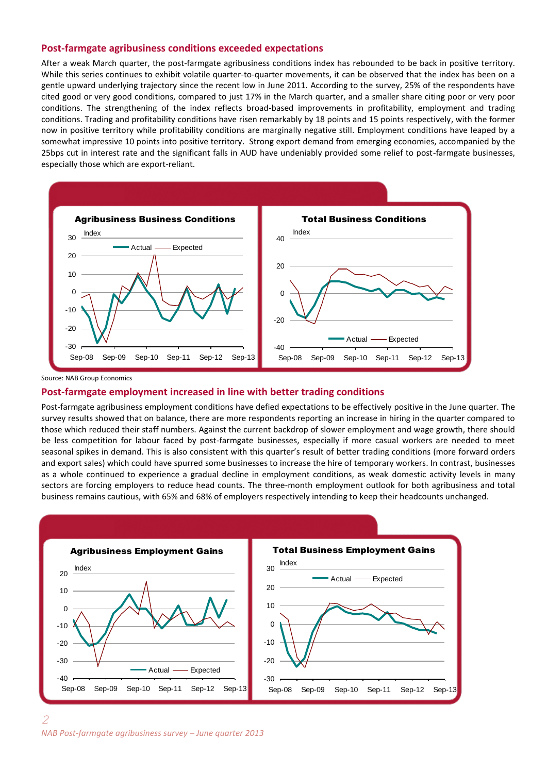#### **Post-farmgate agribusiness conditions exceeded expectations**

After a weak March quarter, the post-farmgate agribusiness conditions index has rebounded to be back in positive territory. While this series continues to exhibit volatile quarter-to-quarter movements, it can be observed that the index has been on a gentle upward underlying trajectory since the recent low in June 2011. According to the survey, 25% of the respondents have cited good or very good conditions, compared to just 17% in the March quarter, and a smaller share citing poor or very poor conditions. The strengthening of the index reflects broad-based improvements in profitability, employment and trading conditions. Trading and profitability conditions have risen remarkably by 18 points and 15 points respectively, with the former now in positive territory while profitability conditions are marginally negative still. Employment conditions have leaped by a somewhat impressive 10 points into positive territory. Strong export demand from emerging economies, accompanied by the 25bps cut in interest rate and the significant falls in AUD have undeniably provided some relief to post-farmgate businesses, especially those which are export-reliant.



Source: NAB Group Economics

#### **Post-farmgate employment increased in line with better trading conditions**

Post-farmgate agribusiness employment conditions have defied expectations to be effectively positive in the June quarter. The survey results showed that on balance, there are more respondents reporting an increase in hiring in the quarter compared to those which reduced their staff numbers. Against the current backdrop of slower employment and wage growth, there should be less competition for labour faced by post-farmgate businesses, especially if more casual workers are needed to meet seasonal spikes in demand. This is also consistent with this quarter's result of better trading conditions (more forward orders and export sales) which could have spurred some businesses to increase the hire of temporary workers. In contrast, businesses as a whole continued to experience a gradual decline in employment conditions, as weak domestic activity levels in many sectors are forcing employers to reduce head counts. The three-month employment outlook for both agribusiness and total business remains cautious, with 65% and 68% of employers respectively intending to keep their headcounts unchanged.

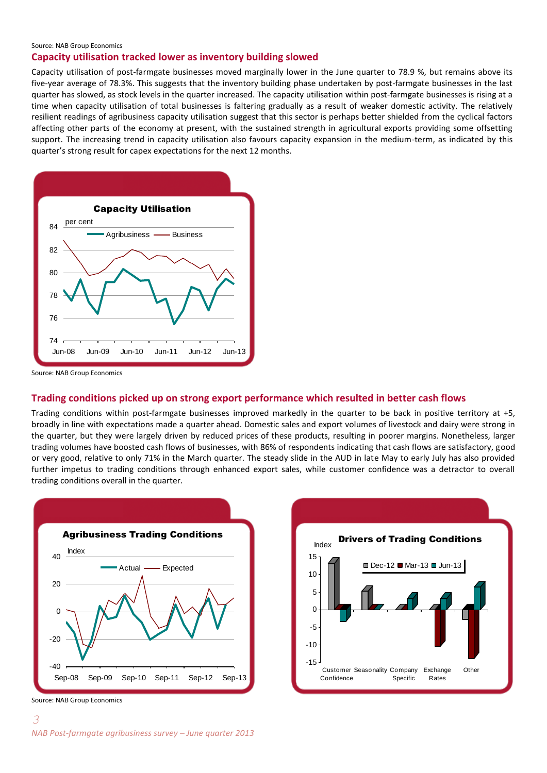#### Source: NAB Group Economics

#### **Capacity utilisation tracked lower as inventory building slowed**

Capacity utilisation of post-farmgate businesses moved marginally lower in the June quarter to 78.9 %, but remains above its five-year average of 78.3%. This suggests that the inventory building phase undertaken by post-farmgate businesses in the last quarter has slowed, as stock levels in the quarter increased. The capacity utilisation within post-farmgate businesses is rising at a time when capacity utilisation of total businesses is faltering gradually as a result of weaker domestic activity. The relatively resilient readings of agribusiness capacity utilisation suggest that this sector is perhaps better shielded from the cyclical factors affecting other parts of the economy at present, with the sustained strength in agricultural exports providing some offsetting support. The increasing trend in capacity utilisation also favours capacity expansion in the medium-term, as indicated by this quarter's strong result for capex expectations for the next 12 months.



Source: NAB Group Economics

#### **Trading conditions picked up on strong export performance which resulted in better cash flows**

Trading conditions within post-farmgate businesses improved markedly in the quarter to be back in positive territory at +5, broadly in line with expectations made a quarter ahead. Domestic sales and export volumes of livestock and dairy were strong in the quarter, but they were largely driven by reduced prices of these products, resulting in poorer margins. Nonetheless, larger trading volumes have boosted cash flows of businesses, with 86% of respondents indicating that cash flows are satisfactory, good or very good, relative to only 71% in the March quarter. The steady slide in the AUD in late May to early July has also provided further impetus to trading conditions through enhanced export sales, while customer confidence was a detractor to overall trading conditions overall in the quarter.





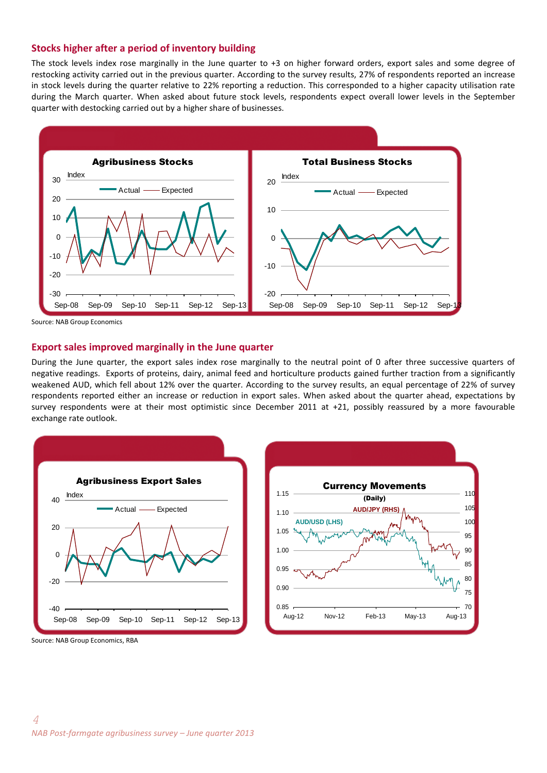#### **Stocks higher after a period of inventory building**

The stock levels index rose marginally in the June quarter to +3 on higher forward orders, export sales and some degree of restocking activity carried out in the previous quarter. According to the survey results, 27% of respondents reported an increase in stock levels during the quarter relative to 22% reporting a reduction. This corresponded to a higher capacity utilisation rate during the March quarter. When asked about future stock levels, respondents expect overall lower levels in the September quarter with destocking carried out by a higher share of businesses.



Source: NAB Group Economics

#### **Export sales improved marginally in the June quarter**

During the June quarter, the export sales index rose marginally to the neutral point of 0 after three successive quarters of negative readings. Exports of proteins, dairy, animal feed and horticulture products gained further traction from a significantly weakened AUD, which fell about 12% over the quarter. According to the survey results, an equal percentage of 22% of survey respondents reported either an increase or reduction in export sales. When asked about the quarter ahead, expectations by survey respondents were at their most optimistic since December 2011 at +21, possibly reassured by a more favourable exchange rate outlook.





Source: NAB Group Economics, RBA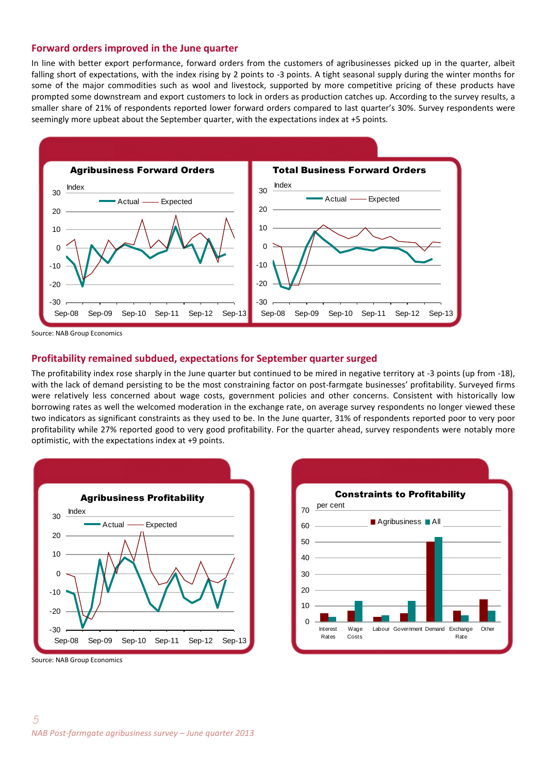#### **Forward orders improved in the June quarter**

In line with better export performance, forward orders from the customers of agribusinesses picked up in the quarter, albeit falling short of expectations, with the index rising by 2 points to -3 points. A tight seasonal supply during the winter months for some of the major commodities such as wool and livestock, supported by more competitive pricing of these products have prompted some downstream and export customers to lock in orders as production catches up. According to the survey results, a smaller share of 21% of respondents reported lower forward orders compared to last quarter's 30%. Survey respondents were seemingly more upbeat about the September quarter, with the expectations index at +5 points.



Source: NAB Group Economics

#### **Profitability remained subdued, expectations for September quarter surged**

The profitability index rose sharply in the June quarter but continued to be mired in negative territory at -3 points (up from -18), with the lack of demand persisting to be the most constraining factor on post-farmgate businesses' profitability. Surveyed firms were relatively less concerned about wage costs, government policies and other concerns. Consistent with historically low borrowing rates as well the welcomed moderation in the exchange rate, on average survey respondents no longer viewed these two indicators as significant constraints as they used to be. In the June quarter, 31% of respondents reported poor to very poor profitability while 27% reported good to very good profitability. For the quarter ahead, survey respondents were notably more optimistic, with the expectations index at +9 points.





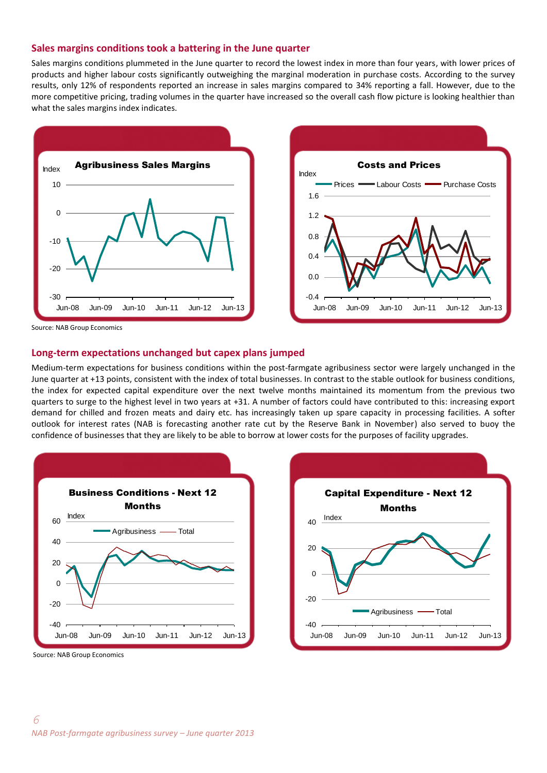#### **Sales margins conditions took a battering in the June quarter**

Sales margins conditions plummeted in the June quarter to record the lowest index in more than four years, with lower prices of products and higher labour costs significantly outweighing the marginal moderation in purchase costs. According to the survey results, only 12% of respondents reported an increase in sales margins compared to 34% reporting a fall. However, due to the more competitive pricing, trading volumes in the quarter have increased so the overall cash flow picture is looking healthier than what the sales margins index indicates.





Source: NAB Group Economics

#### **Long-term expectations unchanged but capex plans jumped**

Medium-term expectations for business conditions within the post-farmgate agribusiness sector were largely unchanged in the June quarter at +13 points, consistent with the index of total businesses. In contrast to the stable outlook for business conditions, the index for expected capital expenditure over the next twelve months maintained its momentum from the previous two quarters to surge to the highest level in two years at +31. A number of factors could have contributed to this: increasing export demand for chilled and frozen meats and dairy etc. has increasingly taken up spare capacity in processing facilities. A softer outlook for interest rates (NAB is forecasting another rate cut by the Reserve Bank in November) also served to buoy the confidence of businesses that they are likely to be able to borrow at lower costs for the purposes of facility upgrades.





Source: NAB Group Economics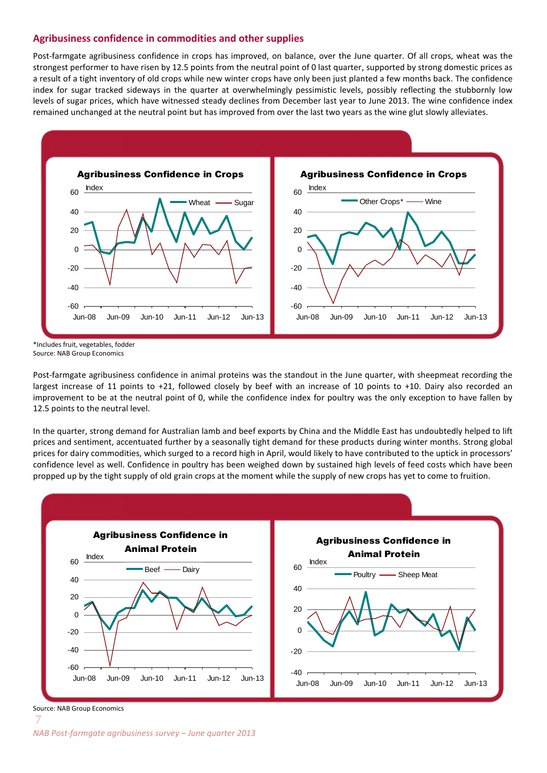#### **Agribusiness confidence in commodities and other supplies**

Post-farmgate agribusiness confidence in crops has improved, on balance, over the June quarter. Of all crops, wheat was the strongest performer to have risen by 12.5 points from the neutral point of 0 last quarter, supported by strong domestic prices as a result of a tight inventory of old crops while new winter crops have only been just planted a few months back. The confidence index for sugar tracked sideways in the quarter at overwhelmingly pessimistic levels, possibly reflecting the stubbornly low levels of sugar prices, which have witnessed steady declines from December last year to June 2013. The wine confidence index remained unchanged at the neutral point but has improved from over the last two years as the wine glut slowly alleviates.



\*Includes fruit, vegetables, fodder Source: NAB Group Economics

Post-farmgate agribusiness confidence in animal proteins was the standout in the June quarter, with sheepmeat recording the largest increase of 11 points to +21, followed closely by beef with an increase of 10 points to +10. Dairy also recorded an improvement to be at the neutral point of 0, while the confidence index for poultry was the only exception to have fallen by 12.5 points to the neutral level.

In the quarter, strong demand for Australian lamb and beef exports by China and the Middle East has undoubtedly helped to lift prices and sentiment, accentuated further by a seasonally tight demand for these products during winter months. Strong global prices for dairy commodities, which surged to a record high in April, would likely to have contributed to the uptick in processors' confidence level as well. Confidence in poultry has been weighed down by sustained high levels of feed costs which have been propped up by the tight supply of old grain crops at the moment while the supply of new crops has yet to come to fruition.



Source: NAB Group Economics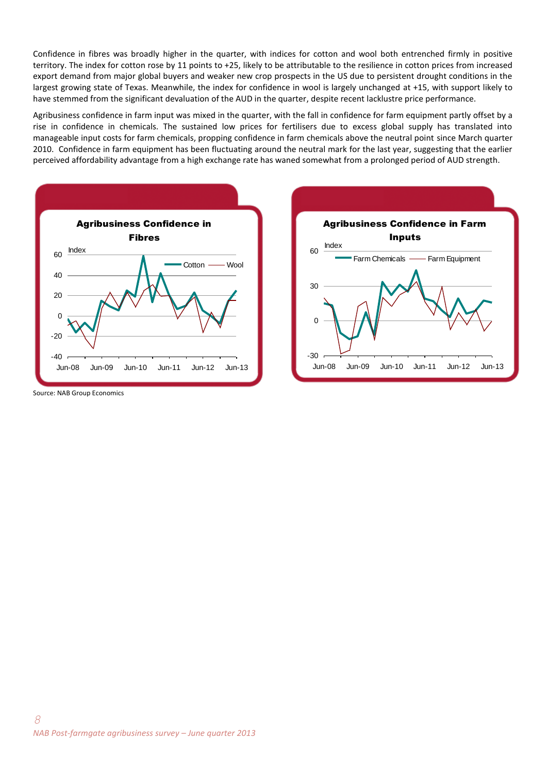Confidence in fibres was broadly higher in the quarter, with indices for cotton and wool both entrenched firmly in positive territory. The index for cotton rose by 11 points to +25, likely to be attributable to the resilience in cotton prices from increased export demand from major global buyers and weaker new crop prospects in the US due to persistent drought conditions in the largest growing state of Texas. Meanwhile, the index for confidence in wool is largely unchanged at +15, with support likely to have stemmed from the significant devaluation of the AUD in the quarter, despite recent lacklustre price performance.

Agribusiness confidence in farm input was mixed in the quarter, with the fall in confidence for farm equipment partly offset by a rise in confidence in chemicals. The sustained low prices for fertilisers due to excess global supply has translated into manageable input costs for farm chemicals, propping confidence in farm chemicals above the neutral point since March quarter 2010. Confidence in farm equipment has been fluctuating around the neutral mark for the last year, suggesting that the earlier perceived affordability advantage from a high exchange rate has waned somewhat from a prolonged period of AUD strength.





Source: NAB Group Economics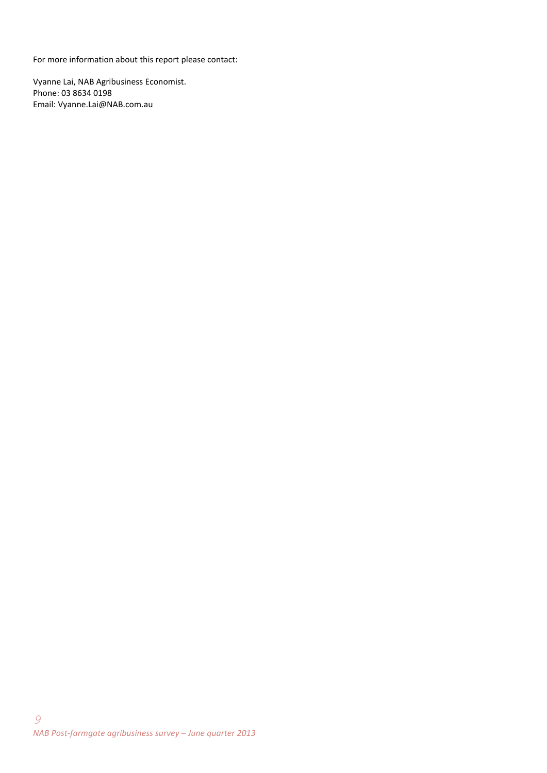For more information about this report please contact:

Vyanne Lai, NAB Agribusiness Economist. Phone: 03 8634 0198 Email: Vyanne.Lai@NAB.com.au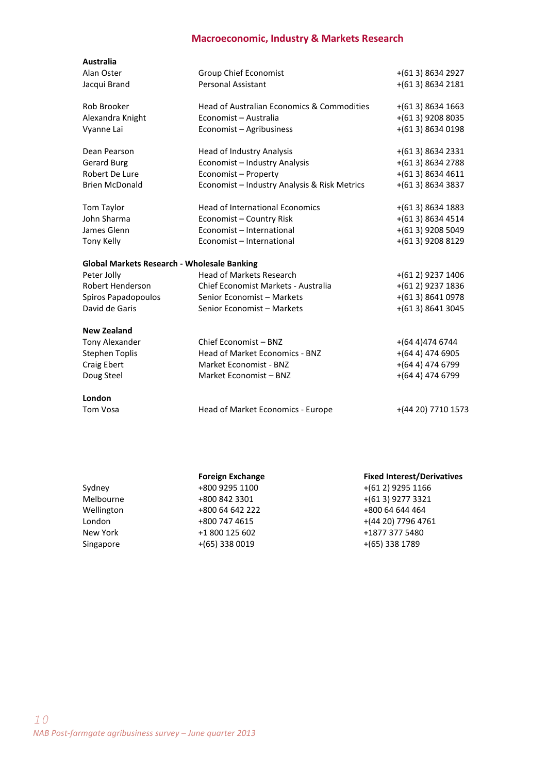## **Macroeconomic, Industry & Markets Research**

| <b>Australia</b>                                   |                                              |                    |
|----------------------------------------------------|----------------------------------------------|--------------------|
| Alan Oster                                         | Group Chief Economist                        | $+(613) 8634 2927$ |
| Jacqui Brand                                       | <b>Personal Assistant</b>                    | $+(613)86342181$   |
|                                                    |                                              |                    |
| Rob Brooker                                        | Head of Australian Economics & Commodities   | $+(613) 8634 1663$ |
| Alexandra Knight                                   | Economist - Australia                        | $+(613)$ 9208 8035 |
| Vyanne Lai                                         | Economist - Agribusiness                     | $+(613)86340198$   |
| Dean Pearson                                       | Head of Industry Analysis                    | $+(613)86342331$   |
| <b>Gerard Burg</b>                                 | Economist - Industry Analysis                | $+(613)86342788$   |
| Robert De Lure                                     | Economist - Property                         | $+(613)86344611$   |
| <b>Brien McDonald</b>                              | Economist - Industry Analysis & Risk Metrics | $+(613)86343837$   |
| Tom Taylor                                         | <b>Head of International Economics</b>       | $+(613) 8634 1883$ |
| John Sharma                                        | Economist - Country Risk                     | $+(613)86344514$   |
| James Glenn                                        | Economist - International                    | $+(613)$ 9208 5049 |
| <b>Tony Kelly</b>                                  | Economist - International                    | +(613) 9208 8129   |
|                                                    |                                              |                    |
| <b>Global Markets Research - Wholesale Banking</b> |                                              |                    |
| Peter Jolly                                        | <b>Head of Markets Research</b>              | $+(612)$ 9237 1406 |
| Robert Henderson                                   | Chief Economist Markets - Australia          | $+(612)$ 9237 1836 |
| Spiros Papadopoulos                                | Senior Economist - Markets                   | $+(613)86410978$   |
| David de Garis                                     | Senior Economist - Markets                   | $+(613)86413045$   |
| <b>New Zealand</b>                                 |                                              |                    |
| <b>Tony Alexander</b>                              | Chief Economist - BNZ                        | $+(644)$ 474 6744  |
| <b>Stephen Toplis</b>                              | Head of Market Economics - BNZ               | $+(644)$ 474 6905  |
| Craig Ebert                                        | Market Economist - BNZ                       | $+(644)$ 474 6799  |
| Doug Steel                                         | Market Economist - BNZ                       | $+(644)$ 474 6799  |
| London                                             |                                              |                    |
| Tom Vosa                                           | Head of Market Economics - Europe            | +(44 20) 7710 1573 |
|                                                    |                                              |                    |

|            | <b>Foreign Exchange</b> | <b>Fixed Interest/Derivatives</b> |  |
|------------|-------------------------|-----------------------------------|--|
| Sydney     | +800 9295 1100          | $+(612)$ 9295 1166                |  |
| Melbourne  | +800 842 3301           | $+(613)$ 9277 3321                |  |
| Wellington | +800 64 642 222         | +800 64 644 464                   |  |
| London     | +800 747 4615           | +(44 20) 7796 4761                |  |
| New York   | +1 800 125 602          | +1877 377 5480                    |  |
| Singapore  | $+(65)$ 338 0019        | $+(65)$ 338 1789                  |  |